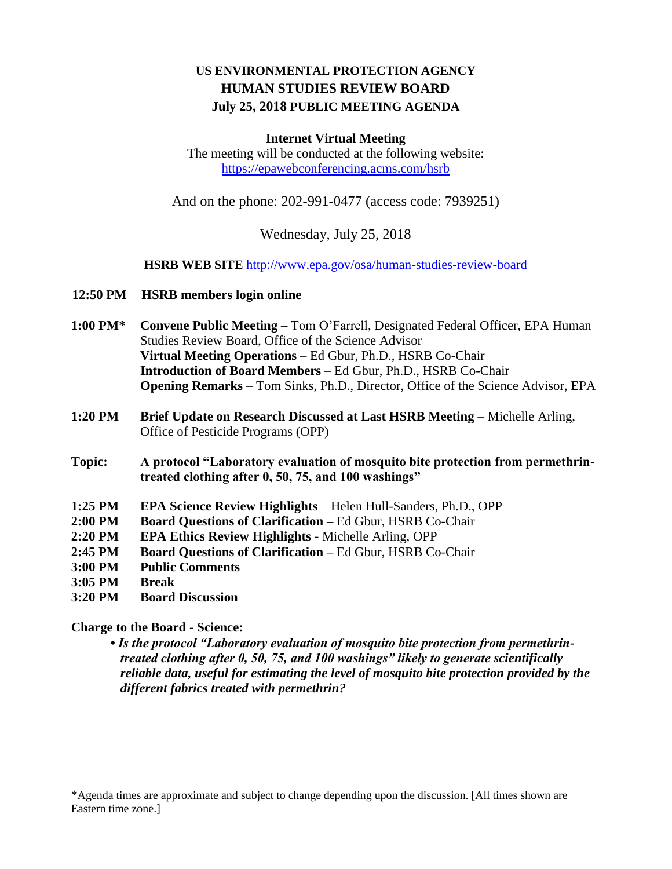# **US ENVIRONMENTAL PROTECTION AGENCY HUMAN STUDIES REVIEW BOARD July 25, 2018 PUBLIC MEETING AGENDA**

#### **Internet Virtual Meeting**

The meeting will be conducted at the following website: <https://epawebconferencing.acms.com/hsrb>

And on the phone: 202-991-0477 (access code: 7939251)

Wednesday, July 25, 2018

**HSRB WEB SITE** <http://www.epa.gov/osa/human-studies-review-board>

- **12:50 PM HSRB members login online**
- **1:00 PM\* Convene Public Meeting –** Tom O'Farrell, Designated Federal Officer, EPA Human Studies Review Board, Office of the Science Advisor **Virtual Meeting Operations** – Ed Gbur, Ph.D., HSRB Co-Chair **Introduction of Board Members** – Ed Gbur, Ph.D., HSRB Co-Chair **Opening Remarks** – Tom Sinks, Ph.D., Director, Office of the Science Advisor, EPA
- **1:20 PM Brief Update on Research Discussed at Last HSRB Meeting** Michelle Arling, Office of Pesticide Programs (OPP)
- **Topic: A protocol "Laboratory evaluation of mosquito bite protection from permethrintreated clothing after 0, 50, 75, and 100 washings"**
- **1:25 PM EPA Science Review Highlights** Helen Hull-Sanders, Ph.D., OPP
- **2:00 PM Board Questions of Clarification –** Ed Gbur, HSRB Co-Chair
- **2:20 PM EPA Ethics Review Highlights -** Michelle Arling, OPP
- **2:45 PM Board Questions of Clarification –** Ed Gbur, HSRB Co-Chair
- **3:00 PM Public Comments**
- **3:05 PM Break**
- **3:20 PM Board Discussion**

#### **Charge to the Board - Science:**

**•** *Is the protocol "Laboratory evaluation of mosquito bite protection from permethrintreated clothing after 0, 50, 75, and 100 washings" likely to generate scientifically reliable data, useful for estimating the level of mosquito bite protection provided by the different fabrics treated with permethrin?*